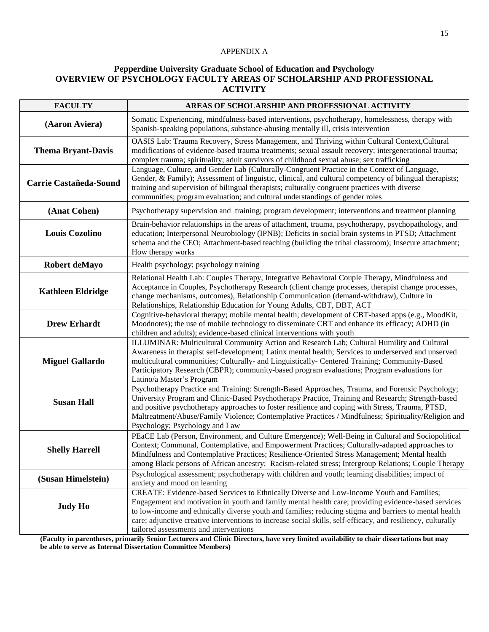## APPENDIX A

## **Pepperdine University Graduate School of Education and Psychology OVERVIEW OF PSYCHOLOGY FACULTY AREAS OF SCHOLARSHIP AND PROFESSIONAL ACTIVITY**

| <b>FACULTY</b>            | AREAS OF SCHOLARSHIP AND PROFESSIONAL ACTIVITY                                                                                                                                                                                                                                                                                                                                                                                                                      |
|---------------------------|---------------------------------------------------------------------------------------------------------------------------------------------------------------------------------------------------------------------------------------------------------------------------------------------------------------------------------------------------------------------------------------------------------------------------------------------------------------------|
| (Aaron Aviera)            | Somatic Experiencing, mindfulness-based interventions, psychotherapy, homelessness, therapy with<br>Spanish-speaking populations, substance-abusing mentally ill, crisis intervention                                                                                                                                                                                                                                                                               |
| <b>Thema Bryant-Davis</b> | OASIS Lab: Trauma Recovery, Stress Management, and Thriving within Cultural Context, Cultural<br>modifications of evidence-based trauma treatments; sexual assault recovery; intergenerational trauma;<br>complex trauma; spirituality; adult survivors of childhood sexual abuse; sex trafficking                                                                                                                                                                  |
| Carrie Castañeda-Sound    | Language, Culture, and Gender Lab (Culturally-Congruent Practice in the Context of Language,<br>Gender, & Family); Assessment of linguistic, clinical, and cultural competency of bilingual therapists;<br>training and supervision of bilingual therapists; culturally congruent practices with diverse<br>communities; program evaluation; and cultural understandings of gender roles                                                                            |
| (Anat Cohen)              | Psychotherapy supervision and training; program development; interventions and treatment planning                                                                                                                                                                                                                                                                                                                                                                   |
| <b>Louis Cozolino</b>     | Brain-behavior relationships in the areas of attachment, trauma, psychotherapy, psychopathology, and<br>education; Interpersonal Neurobiology (IPNB); Deficits in social brain systems in PTSD; Attachment<br>schema and the CEO; Attachment-based teaching (building the tribal classroom); Insecure attachment;<br>How therapy works                                                                                                                              |
| Robert deMayo             | Health psychology; psychology training                                                                                                                                                                                                                                                                                                                                                                                                                              |
| <b>Kathleen Eldridge</b>  | Relational Health Lab: Couples Therapy, Integrative Behavioral Couple Therapy, Mindfulness and<br>Acceptance in Couples, Psychotherapy Research (client change processes, therapist change processes,<br>change mechanisms, outcomes), Relationship Communication (demand-withdraw), Culture in<br>Relationships, Relationship Education for Young Adults, CBT, DBT, ACT                                                                                            |
| <b>Drew Erhardt</b>       | Cognitive-behavioral therapy; mobile mental health; development of CBT-based apps (e.g., MoodKit,<br>Moodnotes); the use of mobile technology to disseminate CBT and enhance its efficacy; ADHD (in<br>children and adults); evidence-based clinical interventions with youth                                                                                                                                                                                       |
| <b>Miguel Gallardo</b>    | ILLUMINAR: Multicultural Community Action and Research Lab; Cultural Humility and Cultural<br>Awareness in therapist self-development; Latinx mental health; Services to underserved and unserved<br>multicultural communities; Culturally- and Linguistically- Centered Training; Community-Based<br>Participatory Research (CBPR); community-based program evaluations; Program evaluations for<br>Latino/a Master's Program                                      |
| <b>Susan Hall</b>         | Psychotherapy Practice and Training: Strength-Based Approaches, Trauma, and Forensic Psychology;<br>University Program and Clinic-Based Psychotherapy Practice, Training and Research; Strength-based<br>and positive psychotherapy approaches to foster resilience and coping with Stress, Trauma, PTSD,<br>Maltreatment/Abuse/Family Violence; Contemplative Practices / Mindfulness; Spirituality/Religion and<br>Psychology; Psychology and Law                 |
| <b>Shelly Harrell</b>     | PEaCE Lab (Person, Environment, and Culture Emergence); Well-Being in Cultural and Sociopolitical<br>Context; Communal, Contemplative, and Empowerment Practices; Culturally-adapted approaches to<br>Mindfulness and Contemplative Practices; Resilience-Oriented Stress Management; Mental health<br>among Black persons of African ancestry; Racism-related stress; Intergroup Relations; Couple Therapy                                                         |
| (Susan Himelstein)        | Psychological assessment; psychotherapy with children and youth; learning disabilities; impact of<br>anxiety and mood on learning                                                                                                                                                                                                                                                                                                                                   |
| <b>Judy Ho</b>            | CREATE: Evidence-based Services to Ethnically Diverse and Low-Income Youth and Families;<br>Engagement and motivation in youth and family mental health care; providing evidence-based services<br>to low-income and ethnically diverse youth and families; reducing stigma and barriers to mental health<br>care; adjunctive creative interventions to increase social skills, self-efficacy, and resiliency, culturally<br>tailored assessments and interventions |

**(Faculty in parentheses, primarily Senior Lecturers and Clinic Directors, have very limited availability to chair dissertations but may be able to serve as Internal Dissertation Committee Members)**